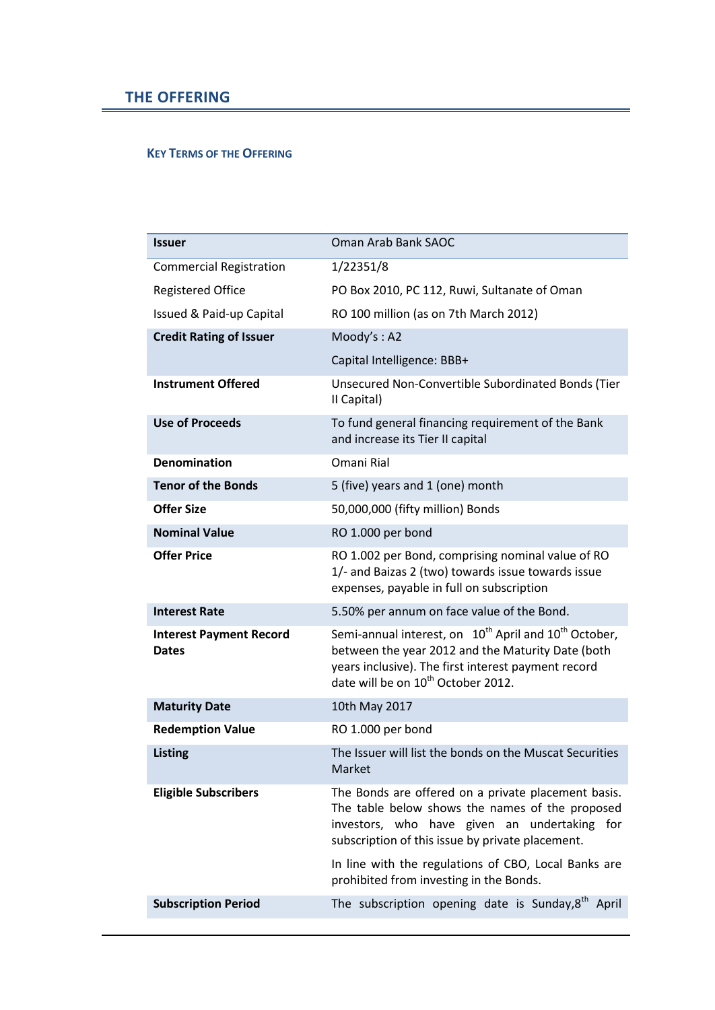## **KEY TERMS OF THE OFFERING**

| <b>Issuer</b>                                  | Oman Arab Bank SAOC                                                                                                                                                                                                                         |
|------------------------------------------------|---------------------------------------------------------------------------------------------------------------------------------------------------------------------------------------------------------------------------------------------|
| <b>Commercial Registration</b>                 | 1/22351/8                                                                                                                                                                                                                                   |
| <b>Registered Office</b>                       | PO Box 2010, PC 112, Ruwi, Sultanate of Oman                                                                                                                                                                                                |
| Issued & Paid-up Capital                       | RO 100 million (as on 7th March 2012)                                                                                                                                                                                                       |
| <b>Credit Rating of Issuer</b>                 | Moody's: A2                                                                                                                                                                                                                                 |
|                                                | Capital Intelligence: BBB+                                                                                                                                                                                                                  |
| <b>Instrument Offered</b>                      | Unsecured Non-Convertible Subordinated Bonds (Tier<br>II Capital)                                                                                                                                                                           |
| <b>Use of Proceeds</b>                         | To fund general financing requirement of the Bank<br>and increase its Tier II capital                                                                                                                                                       |
| <b>Denomination</b>                            | Omani Rial                                                                                                                                                                                                                                  |
| <b>Tenor of the Bonds</b>                      | 5 (five) years and 1 (one) month                                                                                                                                                                                                            |
| <b>Offer Size</b>                              | 50,000,000 (fifty million) Bonds                                                                                                                                                                                                            |
| <b>Nominal Value</b>                           | RO 1.000 per bond                                                                                                                                                                                                                           |
| <b>Offer Price</b>                             | RO 1.002 per Bond, comprising nominal value of RO<br>1/- and Baizas 2 (two) towards issue towards issue<br>expenses, payable in full on subscription                                                                                        |
| <b>Interest Rate</b>                           | 5.50% per annum on face value of the Bond.                                                                                                                                                                                                  |
| <b>Interest Payment Record</b><br><b>Dates</b> | Semi-annual interest, on 10 <sup>th</sup> April and 10 <sup>th</sup> October,<br>between the year 2012 and the Maturity Date (both<br>years inclusive). The first interest payment record<br>date will be on 10 <sup>th</sup> October 2012. |
| <b>Maturity Date</b>                           | 10th May 2017                                                                                                                                                                                                                               |
| <b>Redemption Value</b>                        | RO 1.000 per bond                                                                                                                                                                                                                           |
| <b>Listing</b>                                 | The Issuer will list the bonds on the Muscat Securities<br>Market                                                                                                                                                                           |
| <b>Eligible Subscribers</b>                    | The Bonds are offered on a private placement basis.<br>The table below shows the names of the proposed<br>investors, who have given an undertaking for<br>subscription of this issue by private placement.                                  |
|                                                | In line with the regulations of CBO, Local Banks are<br>prohibited from investing in the Bonds.                                                                                                                                             |
| <b>Subscription Period</b>                     | The subscription opening date is Sunday, 8 <sup>th</sup><br>April                                                                                                                                                                           |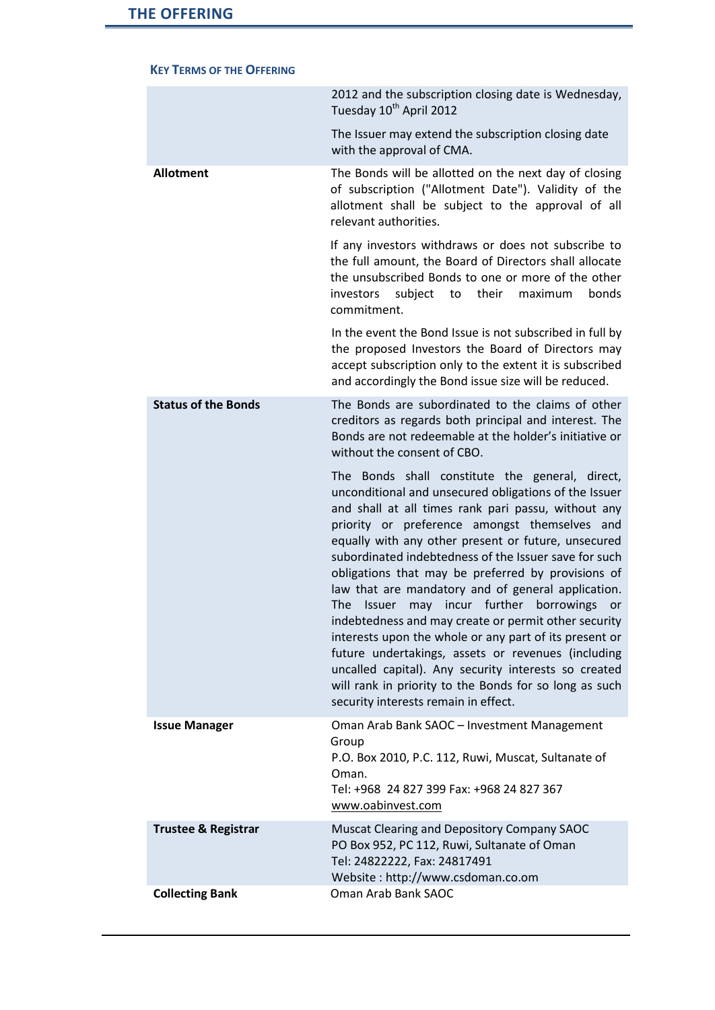|                                | 2012 and the subscription closing date is Wednesday,<br>Tuesday 10 <sup>th</sup> April 2012                                                                                                                                                                                                                                                                                                                                                                                                                                                                                                                                                                                                                                                                                                                                              |
|--------------------------------|------------------------------------------------------------------------------------------------------------------------------------------------------------------------------------------------------------------------------------------------------------------------------------------------------------------------------------------------------------------------------------------------------------------------------------------------------------------------------------------------------------------------------------------------------------------------------------------------------------------------------------------------------------------------------------------------------------------------------------------------------------------------------------------------------------------------------------------|
|                                | The Issuer may extend the subscription closing date<br>with the approval of CMA.                                                                                                                                                                                                                                                                                                                                                                                                                                                                                                                                                                                                                                                                                                                                                         |
| <b>Allotment</b>               | The Bonds will be allotted on the next day of closing<br>of subscription ("Allotment Date"). Validity of the<br>allotment shall be subject to the approval of all<br>relevant authorities.                                                                                                                                                                                                                                                                                                                                                                                                                                                                                                                                                                                                                                               |
|                                | If any investors withdraws or does not subscribe to<br>the full amount, the Board of Directors shall allocate<br>the unsubscribed Bonds to one or more of the other<br>their<br>investors<br>subject<br>maximum<br>bonds<br>to<br>commitment.                                                                                                                                                                                                                                                                                                                                                                                                                                                                                                                                                                                            |
|                                | In the event the Bond Issue is not subscribed in full by<br>the proposed Investors the Board of Directors may<br>accept subscription only to the extent it is subscribed<br>and accordingly the Bond issue size will be reduced.                                                                                                                                                                                                                                                                                                                                                                                                                                                                                                                                                                                                         |
| <b>Status of the Bonds</b>     | The Bonds are subordinated to the claims of other<br>creditors as regards both principal and interest. The<br>Bonds are not redeemable at the holder's initiative or<br>without the consent of CBO.                                                                                                                                                                                                                                                                                                                                                                                                                                                                                                                                                                                                                                      |
|                                | The Bonds shall constitute the general, direct,<br>unconditional and unsecured obligations of the Issuer<br>and shall at all times rank pari passu, without any<br>priority or preference amongst themselves and<br>equally with any other present or future, unsecured<br>subordinated indebtedness of the Issuer save for such<br>obligations that may be preferred by provisions of<br>law that are mandatory and of general application.<br>may incur further<br>The<br>borrowings<br>Issuer<br>or<br>indebtedness and may create or permit other security<br>interests upon the whole or any part of its present or<br>future undertakings, assets or revenues (including<br>uncalled capital). Any security interests so created<br>will rank in priority to the Bonds for so long as such<br>security interests remain in effect. |
| <b>Issue Manager</b>           | Oman Arab Bank SAOC - Investment Management<br>Group<br>P.O. Box 2010, P.C. 112, Ruwi, Muscat, Sultanate of<br>Oman.<br>Tel: +968 24 827 399 Fax: +968 24 827 367<br>www.oabinvest.com                                                                                                                                                                                                                                                                                                                                                                                                                                                                                                                                                                                                                                                   |
| <b>Trustee &amp; Registrar</b> | Muscat Clearing and Depository Company SAOC<br>PO Box 952, PC 112, Ruwi, Sultanate of Oman<br>Tel: 24822222, Fax: 24817491<br>Website: http://www.csdoman.co.om                                                                                                                                                                                                                                                                                                                                                                                                                                                                                                                                                                                                                                                                          |
| <b>Collecting Bank</b>         | Oman Arab Bank SAOC                                                                                                                                                                                                                                                                                                                                                                                                                                                                                                                                                                                                                                                                                                                                                                                                                      |

## **KEY TERMS OF THE OFFERING**